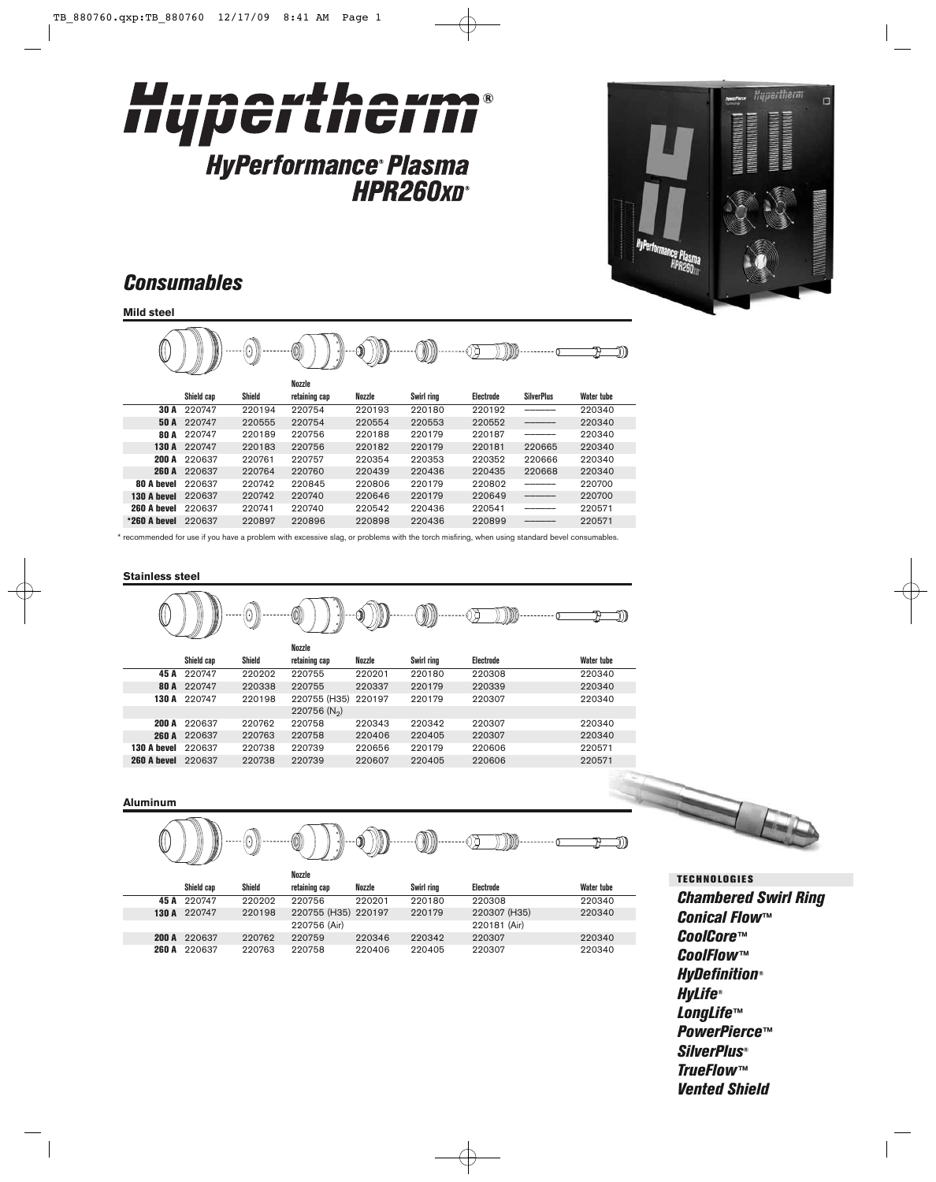

**HPR260xD®** 



## *Consumables*

**Mild steel**



\* recommended for use if you have a problem with excessive slag, or problems with the torch misfiring, when using standard bevel consumables.

#### **Stainless steel**

|              |            |        | (0)                        | ٠M     |            |           |            |
|--------------|------------|--------|----------------------------|--------|------------|-----------|------------|
|              |            |        | Nozzle                     |        |            |           |            |
|              | Shield cap | Shield | retaining cap              | Nozzle | Swirl ring | Electrode | Water tube |
| 45 A         | 220747     | 220202 | 220755                     | 220201 | 220180     | 220308    | 220340     |
| <b>80 A</b>  | 220747     | 220338 | 220755                     | 220337 | 220179     | 220339    | 220340     |
| 130 A        | 220747     | 220198 | 220755 (H35)               | 220197 | 220179     | 220307    | 220340     |
|              |            |        | $220756$ (N <sub>2</sub> ) |        |            |           |            |
| 200 A        | 220637     | 220762 | 220758                     | 220343 | 220342     | 220307    | 220340     |
| <b>260 A</b> | 220637     | 220763 | 220758                     | 220406 | 220405     | 220307    | 220340     |
| 130 A hevel  | 220637     | 220738 | 220739                     | 220656 | 220179     | 220606    | 220571     |
| 260 A bevel  | 220637     | 220738 | 220739                     | 220607 | 220405     | 220606    | 220571     |
|              |            |        |                            |        |            |           |            |

#### **Aluminum**

 $\left( 0\right)$  $\cdots$  $\mathfrak{F}$ OD)  $\mathbb{Z}$  $\mathcal{D}=\mathcal{D}$ 

|  |              |        | Nozzle              |        |            |              |                   |
|--|--------------|--------|---------------------|--------|------------|--------------|-------------------|
|  | Shield cap   | Shield | retaining cap       | Nozzle | Swirl rina | Electrode    | <b>Water tube</b> |
|  | 45 A 220747  | 220202 | 220756              | 220201 | 220180     | 220308       | 220340            |
|  | 130 A 220747 | 220198 | 220755 (H35) 220197 |        | 220179     | 220307 (H35) | 220340            |
|  |              |        | 220756 (Air)        |        |            | 220181 (Air) |                   |
|  | 200 A 220637 | 220762 | 220759              | 220346 | 220342     | 220307       | 220340            |
|  | 260 A 220637 | 220763 | 220758              | 220406 | 220405     | 220307       | 220340            |

### *Chambered Swirl Ring Conical Flow™ CoolCore™ CoolFlow™ HyDefinition® HyLife® LongLife™ PowerPierce™ SilverPlus® TrueFlow™ Vented Shield* **TECHNOLOGIES**